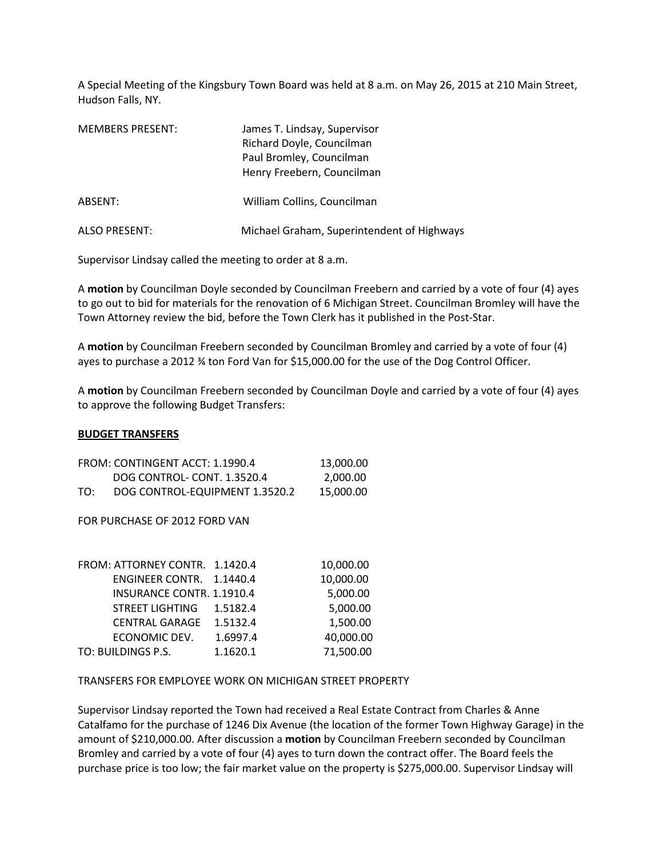A Special Meeting of the Kingsbury Town Board was held at 8 a.m. on May 26, 2015 at 210 Main Street, Hudson Falls, NY.

| <b>MEMBERS PRESENT:</b> | James T. Lindsay, Supervisor<br>Richard Doyle, Councilman<br>Paul Bromley, Councilman<br>Henry Freebern, Councilman |
|-------------------------|---------------------------------------------------------------------------------------------------------------------|
| ABSENT:                 | William Collins, Councilman                                                                                         |
| <b>ALSO PRESENT:</b>    | Michael Graham, Superintendent of Highways                                                                          |

Supervisor Lindsay called the meeting to order at 8 a.m.

A **motion** by Councilman Doyle seconded by Councilman Freebern and carried by a vote of four (4) ayes to go out to bid for materials for the renovation of 6 Michigan Street. Councilman Bromley will have the Town Attorney review the bid, before the Town Clerk has it published in the Post-Star.

A **motion** by Councilman Freebern seconded by Councilman Bromley and carried by a vote of four (4) ayes to purchase a 2012 ¾ ton Ford Van for \$15,000.00 for the use of the Dog Control Officer.

A **motion** by Councilman Freebern seconded by Councilman Doyle and carried by a vote of four (4) ayes to approve the following Budget Transfers:

## **BUDGET TRANSFERS**

| FROM: CONTINGENT ACCT: 1.1990.4 | 13.000.00                      |           |
|---------------------------------|--------------------------------|-----------|
|                                 | DOG CONTROL-CONT. 1.3520.4     | 2.000.00  |
| TO:                             | DOG CONTROL-EQUIPMENT 1.3520.2 | 15.000.00 |

FOR PURCHASE OF 2012 FORD VAN

| FROM: ATTORNEY CONTR. 1.1420.4 |          | 10,000.00 |
|--------------------------------|----------|-----------|
| ENGINEER CONTR. 1.1440.4       |          | 10,000.00 |
| INSURANCE CONTR. 1.1910.4      |          | 5,000.00  |
| STREET LIGHTING                | 1.5182.4 | 5,000.00  |
| <b>CENTRAL GARAGE</b>          | 1.5132.4 | 1,500.00  |
| ECONOMIC DEV.                  | 1.6997.4 | 40,000.00 |
| TO: BUILDINGS P.S.             | 1.1620.1 | 71,500.00 |

TRANSFERS FOR EMPLOYEE WORK ON MICHIGAN STREET PROPERTY

Supervisor Lindsay reported the Town had received a Real Estate Contract from Charles & Anne Catalfamo for the purchase of 1246 Dix Avenue (the location of the former Town Highway Garage) in the amount of \$210,000.00. After discussion a **motion** by Councilman Freebern seconded by Councilman Bromley and carried by a vote of four (4) ayes to turn down the contract offer. The Board feels the purchase price is too low; the fair market value on the property is \$275,000.00. Supervisor Lindsay will